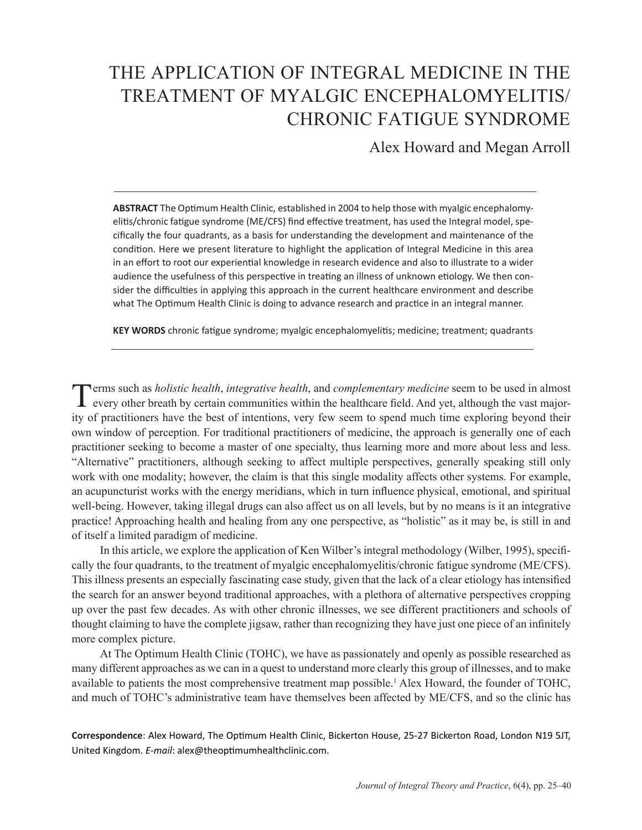# THE APPLICATION OF INTEGRAL MEDICINE IN THE TREATMENT OF MYALGIC ENCEPHALOMYELITIS/ CHRONIC FATIGUE SYNDROME

Alex Howard and Megan Arroll

**ABSTRACT** The Optimum Health Clinic, established in 2004 to help those with myalgic encephalomyelitis/chronic fatigue syndrome (ME/CFS) find effective treatment, has used the Integral model, specifically the four quadrants, as a basis for understanding the development and maintenance of the condition. Here we present literature to highlight the application of Integral Medicine in this area in an effort to root our experiential knowledge in research evidence and also to illustrate to a wider audience the usefulness of this perspective in treating an illness of unknown etiology. We then consider the difficulties in applying this approach in the current healthcare environment and describe what The Optimum Health Clinic is doing to advance research and practice in an integral manner.

**KEY WORDS** chronic fatigue syndrome; myalgic encephalomyelitis; medicine; treatment; quadrants

Terms such as *holistic health*, *integrative health*, and *complementary medicine* seem to be used in almost every other breath by certain communities within the healthcare field. And yet, although the vast majority of practitioners have the best of intentions, very few seem to spend much time exploring beyond their own window of perception. For traditional practitioners of medicine, the approach is generally one of each practitioner seeking to become a master of one specialty, thus learning more and more about less and less. "Alternative" practitioners, although seeking to affect multiple perspectives, generally speaking still only work with one modality; however, the claim is that this single modality affects other systems. For example, an acupuncturist works with the energy meridians, which in turn influence physical, emotional, and spiritual well-being. However, taking illegal drugs can also affect us on all levels, but by no means is it an integrative practice! Approaching health and healing from any one perspective, as "holistic" as it may be, is still in and of itself a limited paradigm of medicine.

In this article, we explore the application of Ken Wilber's integral methodology (Wilber, 1995), specifically the four quadrants, to the treatment of myalgic encephalomyelitis/chronic fatigue syndrome (ME/CFS). This illness presents an especially fascinating case study, given that the lack of a clear etiology has intensified the search for an answer beyond traditional approaches, with a plethora of alternative perspectives cropping up over the past few decades. As with other chronic illnesses, we see different practitioners and schools of thought claiming to have the complete jigsaw, rather than recognizing they have just one piece of an infinitely more complex picture.

At The Optimum Health Clinic (TOHC), we have as passionately and openly as possible researched as many different approaches as we can in a quest to understand more clearly this group of illnesses, and to make available to patients the most comprehensive treatment map possible.<sup>1</sup> Alex Howard, the founder of TOHC, and much of TOHC's administrative team have themselves been affected by ME/CFS, and so the clinic has

**Correspondence**: Alex Howard, The Optimum Health Clinic, Bickerton House, 25-27 Bickerton Road, London N19 5JT, United Kingdom. *E-mail*: alex@theoptimumhealthclinic.com.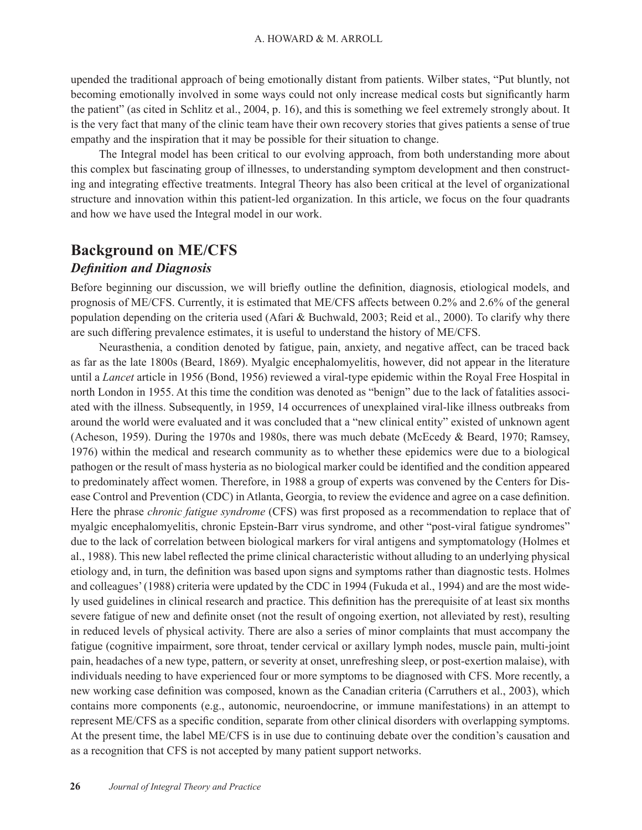upended the traditional approach of being emotionally distant from patients. Wilber states, "Put bluntly, not becoming emotionally involved in some ways could not only increase medical costs but significantly harm the patient" (as cited in Schlitz et al., 2004, p. 16), and this is something we feel extremely strongly about. It is the very fact that many of the clinic team have their own recovery stories that gives patients a sense of true empathy and the inspiration that it may be possible for their situation to change.

The Integral model has been critical to our evolving approach, from both understanding more about this complex but fascinating group of illnesses, to understanding symptom development and then constructing and integrating effective treatments. Integral Theory has also been critical at the level of organizational structure and innovation within this patient-led organization. In this article, we focus on the four quadrants and how we have used the Integral model in our work.

## **Background on ME/CFS**

### *Definition and Diagnosis*

Before beginning our discussion, we will briefly outline the definition, diagnosis, etiological models, and prognosis of ME/CFS. Currently, it is estimated that ME/CFS affects between 0.2% and 2.6% of the general population depending on the criteria used (Afari & Buchwald, 2003; Reid et al., 2000). To clarify why there are such differing prevalence estimates, it is useful to understand the history of ME/CFS.

Neurasthenia, a condition denoted by fatigue, pain, anxiety, and negative affect, can be traced back as far as the late 1800s (Beard, 1869). Myalgic encephalomyelitis, however, did not appear in the literature until a *Lancet* article in 1956 (Bond, 1956) reviewed a viral-type epidemic within the Royal Free Hospital in north London in 1955. At this time the condition was denoted as "benign" due to the lack of fatalities associated with the illness. Subsequently, in 1959, 14 occurrences of unexplained viral-like illness outbreaks from around the world were evaluated and it was concluded that a "new clinical entity" existed of unknown agent (Acheson, 1959). During the 1970s and 1980s, there was much debate (McEcedy & Beard, 1970; Ramsey, 1976) within the medical and research community as to whether these epidemics were due to a biological pathogen or the result of mass hysteria as no biological marker could be identified and the condition appeared to predominately affect women. Therefore, in 1988 a group of experts was convened by the Centers for Disease Control and Prevention (CDC) in Atlanta, Georgia, to review the evidence and agree on a case definition. Here the phrase *chronic fatigue syndrome* (CFS) was first proposed as a recommendation to replace that of myalgic encephalomyelitis, chronic Epstein-Barr virus syndrome, and other "post-viral fatigue syndromes" due to the lack of correlation between biological markers for viral antigens and symptomatology (Holmes et al., 1988). This new label reflected the prime clinical characteristic without alluding to an underlying physical etiology and, in turn, the definition was based upon signs and symptoms rather than diagnostic tests. Holmes and colleagues' (1988) criteria were updated by the CDC in 1994 (Fukuda et al., 1994) and are the most widely used guidelines in clinical research and practice. This definition has the prerequisite of at least six months severe fatigue of new and definite onset (not the result of ongoing exertion, not alleviated by rest), resulting in reduced levels of physical activity. There are also a series of minor complaints that must accompany the fatigue (cognitive impairment, sore throat, tender cervical or axillary lymph nodes, muscle pain, multi-joint pain, headaches of a new type, pattern, or severity at onset, unrefreshing sleep, or post-exertion malaise), with individuals needing to have experienced four or more symptoms to be diagnosed with CFS. More recently, a new working case definition was composed, known as the Canadian criteria (Carruthers et al., 2003), which contains more components (e.g., autonomic, neuroendocrine, or immune manifestations) in an attempt to represent ME/CFS as a specific condition, separate from other clinical disorders with overlapping symptoms. At the present time, the label ME/CFS is in use due to continuing debate over the condition's causation and as a recognition that CFS is not accepted by many patient support networks.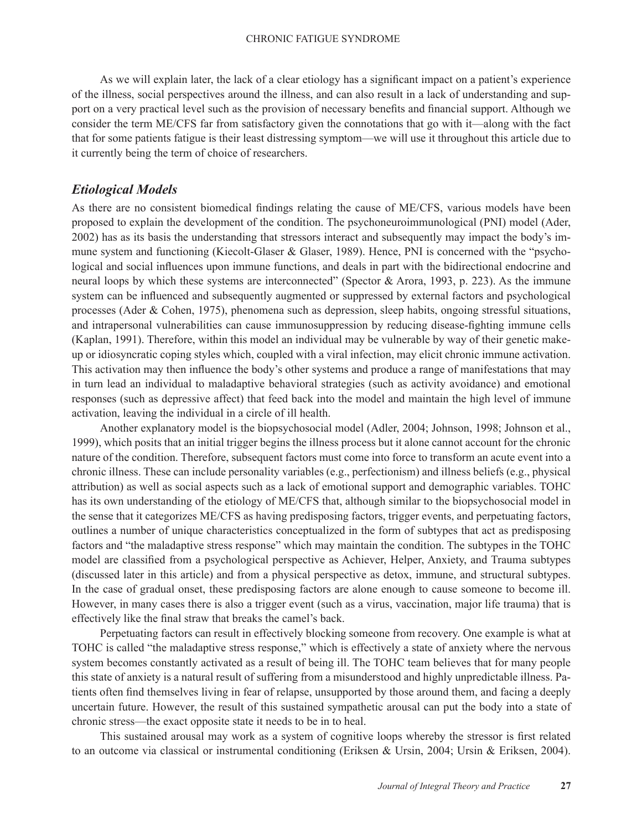As we will explain later, the lack of a clear etiology has a significant impact on a patient's experience of the illness, social perspectives around the illness, and can also result in a lack of understanding and support on a very practical level such as the provision of necessary benefits and financial support. Although we consider the term ME/CFS far from satisfactory given the connotations that go with it—along with the fact that for some patients fatigue is their least distressing symptom—we will use it throughout this article due to it currently being the term of choice of researchers.

### *Etiological Models*

As there are no consistent biomedical findings relating the cause of ME/CFS, various models have been proposed to explain the development of the condition. The psychoneuroimmunological (PNI) model (Ader, 2002) has as its basis the understanding that stressors interact and subsequently may impact the body's immune system and functioning (Kiecolt-Glaser & Glaser, 1989). Hence, PNI is concerned with the "psychological and social influences upon immune functions, and deals in part with the bidirectional endocrine and neural loops by which these systems are interconnected" (Spector & Arora, 1993, p. 223). As the immune system can be influenced and subsequently augmented or suppressed by external factors and psychological processes (Ader & Cohen, 1975), phenomena such as depression, sleep habits, ongoing stressful situations, and intrapersonal vulnerabilities can cause immunosuppression by reducing disease-fighting immune cells (Kaplan, 1991). Therefore, within this model an individual may be vulnerable by way of their genetic makeup or idiosyncratic coping styles which, coupled with a viral infection, may elicit chronic immune activation. This activation may then influence the body's other systems and produce a range of manifestations that may in turn lead an individual to maladaptive behavioral strategies (such as activity avoidance) and emotional responses (such as depressive affect) that feed back into the model and maintain the high level of immune activation, leaving the individual in a circle of ill health.

Another explanatory model is the biopsychosocial model (Adler, 2004; Johnson, 1998; Johnson et al., 1999), which posits that an initial trigger begins the illness process but it alone cannot account for the chronic nature of the condition. Therefore, subsequent factors must come into force to transform an acute event into a chronic illness. These can include personality variables (e.g., perfectionism) and illness beliefs (e.g., physical attribution) as well as social aspects such as a lack of emotional support and demographic variables. TOHC has its own understanding of the etiology of ME/CFS that, although similar to the biopsychosocial model in the sense that it categorizes ME/CFS as having predisposing factors, trigger events, and perpetuating factors, outlines a number of unique characteristics conceptualized in the form of subtypes that act as predisposing factors and "the maladaptive stress response" which may maintain the condition. The subtypes in the TOHC model are classified from a psychological perspective as Achiever, Helper, Anxiety, and Trauma subtypes (discussed later in this article) and from a physical perspective as detox, immune, and structural subtypes. In the case of gradual onset, these predisposing factors are alone enough to cause someone to become ill. However, in many cases there is also a trigger event (such as a virus, vaccination, major life trauma) that is effectively like the final straw that breaks the camel's back.

Perpetuating factors can result in effectively blocking someone from recovery. One example is what at TOHC is called "the maladaptive stress response," which is effectively a state of anxiety where the nervous system becomes constantly activated as a result of being ill. The TOHC team believes that for many people this state of anxiety is a natural result of suffering from a misunderstood and highly unpredictable illness. Patients often find themselves living in fear of relapse, unsupported by those around them, and facing a deeply uncertain future. However, the result of this sustained sympathetic arousal can put the body into a state of chronic stress—the exact opposite state it needs to be in to heal.

This sustained arousal may work as a system of cognitive loops whereby the stressor is first related to an outcome via classical or instrumental conditioning (Eriksen & Ursin, 2004; Ursin & Eriksen, 2004).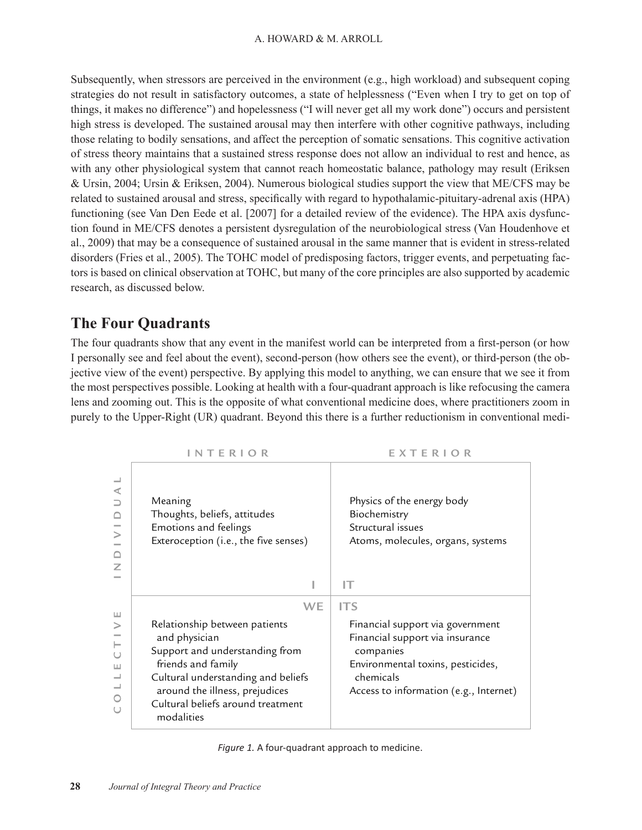Subsequently, when stressors are perceived in the environment (e.g., high workload) and subsequent coping strategies do not result in satisfactory outcomes, a state of helplessness ("Even when I try to get on top of things, it makes no difference") and hopelessness ("I will never get all my work done") occurs and persistent high stress is developed. The sustained arousal may then interfere with other cognitive pathways, including those relating to bodily sensations, and affect the perception of somatic sensations. This cognitive activation of stress theory maintains that a sustained stress response does not allow an individual to rest and hence, as with any other physiological system that cannot reach homeostatic balance, pathology may result (Eriksen & Ursin, 2004; Ursin & Eriksen, 2004). Numerous biological studies support the view that ME/CFS may be related to sustained arousal and stress, specifically with regard to hypothalamic-pituitary-adrenal axis (HPA) functioning (see Van Den Eede et al. [2007] for a detailed review of the evidence). The HPA axis dysfunction found in ME/CFS denotes a persistent dysregulation of the neurobiological stress (Van Houdenhove et al., 2009) that may be a consequence of sustained arousal in the same manner that is evident in stress-related disorders (Fries et al., 2005). The TOHC model of predisposing factors, trigger events, and perpetuating factors is based on clinical observation at TOHC, but many of the core principles are also supported by academic research, as discussed below.

# **The Four Quadrants**

The four quadrants show that any event in the manifest world can be interpreted from a first-person (or how I personally see and feel about the event), second-person (how others see the event), or third-person (the objective view of the event) perspective. By applying this model to anything, we can ensure that we see it from the most perspectives possible. Looking at health with a four-quadrant approach is like refocusing the camera lens and zooming out. This is the opposite of what conventional medicine does, where practitioners zoom in purely to the Upper-Right (UR) quadrant. Beyond this there is a further reductionism in conventional medi-

|                                                                             | <b>INTERIOR</b>                                                                                                                                                                                                                         | EXTERIOR                                                                                                                                                                                   |
|-----------------------------------------------------------------------------|-----------------------------------------------------------------------------------------------------------------------------------------------------------------------------------------------------------------------------------------|--------------------------------------------------------------------------------------------------------------------------------------------------------------------------------------------|
| $\overline{\phantom{0}}$<br>⋖<br>⊃<br>$\Box$<br>$\geq$<br>Z                 | Meaning<br>Thoughts, beliefs, attitudes<br>Emotions and feelings<br>Exteroception (i.e., the five senses)                                                                                                                               | Physics of the energy body<br>Biochemistry<br>Structural issues<br>Atoms, molecules, organs, systems<br>IΤ                                                                                 |
| $\sqcup$<br>$\rm{>}$<br>$\vdash$<br>$\cup$<br>Ш<br>$\overline{\phantom{0}}$ | WE<br>Relationship between patients<br>and physician<br>Support and understanding from<br>friends and family<br>Cultural understanding and beliefs<br>around the illness, prejudices<br>Cultural beliefs around treatment<br>modalities | <b>ITS</b><br>Financial support via government<br>Financial support via insurance<br>companies<br>Environmental toxins, pesticides,<br>chemicals<br>Access to information (e.g., Internet) |

| Figure 1. A four-quadrant approach to medicine. |  |  |  |  |
|-------------------------------------------------|--|--|--|--|
|-------------------------------------------------|--|--|--|--|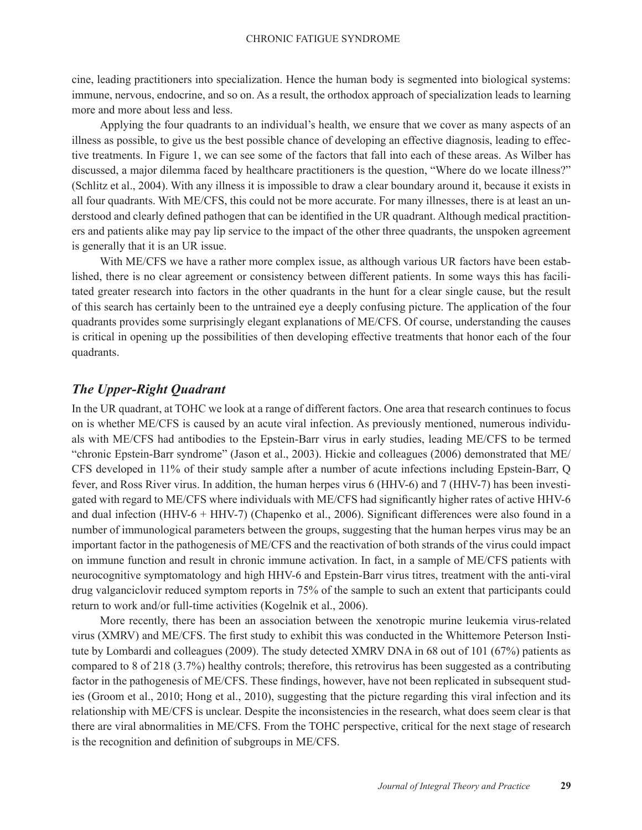cine, leading practitioners into specialization. Hence the human body is segmented into biological systems: immune, nervous, endocrine, and so on. As a result, the orthodox approach of specialization leads to learning more and more about less and less.

Applying the four quadrants to an individual's health, we ensure that we cover as many aspects of an illness as possible, to give us the best possible chance of developing an effective diagnosis, leading to effective treatments. In Figure 1, we can see some of the factors that fall into each of these areas. As Wilber has discussed, a major dilemma faced by healthcare practitioners is the question, "Where do we locate illness?" (Schlitz et al., 2004). With any illness it is impossible to draw a clear boundary around it, because it exists in all four quadrants. With ME/CFS, this could not be more accurate. For many illnesses, there is at least an understood and clearly defined pathogen that can be identified in the UR quadrant. Although medical practitioners and patients alike may pay lip service to the impact of the other three quadrants, the unspoken agreement is generally that it is an UR issue.

With ME/CFS we have a rather more complex issue, as although various UR factors have been established, there is no clear agreement or consistency between different patients. In some ways this has facilitated greater research into factors in the other quadrants in the hunt for a clear single cause, but the result of this search has certainly been to the untrained eye a deeply confusing picture. The application of the four quadrants provides some surprisingly elegant explanations of ME/CFS. Of course, understanding the causes is critical in opening up the possibilities of then developing effective treatments that honor each of the four quadrants.

### *The Upper-Right Quadrant*

In the UR quadrant, at TOHC we look at a range of different factors. One area that research continues to focus on is whether ME/CFS is caused by an acute viral infection. As previously mentioned, numerous individuals with ME/CFS had antibodies to the Epstein-Barr virus in early studies, leading ME/CFS to be termed "chronic Epstein-Barr syndrome" (Jason et al., 2003). Hickie and colleagues (2006) demonstrated that ME/ CFS developed in 11% of their study sample after a number of acute infections including Epstein-Barr, Q fever, and Ross River virus. In addition, the human herpes virus 6 (HHV-6) and 7 (HHV-7) has been investigated with regard to ME/CFS where individuals with ME/CFS had significantly higher rates of active HHV-6 and dual infection (HHV-6 + HHV-7) (Chapenko et al., 2006). Significant differences were also found in a number of immunological parameters between the groups, suggesting that the human herpes virus may be an important factor in the pathogenesis of ME/CFS and the reactivation of both strands of the virus could impact on immune function and result in chronic immune activation. In fact, in a sample of ME/CFS patients with neurocognitive symptomatology and high HHV-6 and Epstein-Barr virus titres, treatment with the anti-viral drug valganciclovir reduced symptom reports in 75% of the sample to such an extent that participants could return to work and/or full-time activities (Kogelnik et al., 2006).

More recently, there has been an association between the xenotropic murine leukemia virus-related virus (XMRV) and ME/CFS. The first study to exhibit this was conducted in the Whittemore Peterson Institute by Lombardi and colleagues (2009). The study detected XMRV DNA in 68 out of 101 (67%) patients as compared to 8 of 218 (3.7%) healthy controls; therefore, this retrovirus has been suggested as a contributing factor in the pathogenesis of ME/CFS. These findings, however, have not been replicated in subsequent studies (Groom et al., 2010; Hong et al., 2010), suggesting that the picture regarding this viral infection and its relationship with ME/CFS is unclear. Despite the inconsistencies in the research, what does seem clear is that there are viral abnormalities in ME/CFS. From the TOHC perspective, critical for the next stage of research is the recognition and definition of subgroups in ME/CFS.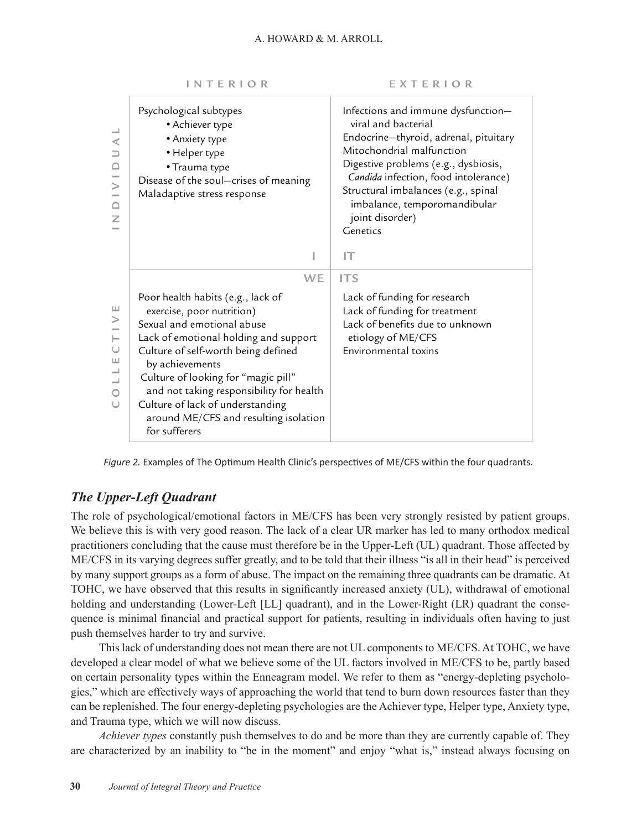| $\prec$<br>$\supseteq$<br>$\geq$<br>≏<br>Z | Psychological subtypes<br>• Achiever type<br>• Anxiety type<br>• Helper type<br>• Trauma type<br>Disease of the soul-crises of meaning<br>Maladaptive stress response<br>ı                                                                                                                                                                                                                    | Infections and immune dysfunction-<br>viral and bacterial<br>Endocrine-thyroid, adrenal, pituitary<br>Mitochondrial malfunction<br>Digestive problems (e.g., dysbiosis,<br>Candida infection, food intolerance)<br>Structural imbalances (e.g., spinal<br>imbalance, temporomandibular<br>joint disorder)<br>Genetics<br>IT |
|--------------------------------------------|-----------------------------------------------------------------------------------------------------------------------------------------------------------------------------------------------------------------------------------------------------------------------------------------------------------------------------------------------------------------------------------------------|-----------------------------------------------------------------------------------------------------------------------------------------------------------------------------------------------------------------------------------------------------------------------------------------------------------------------------|
|                                            |                                                                                                                                                                                                                                                                                                                                                                                               |                                                                                                                                                                                                                                                                                                                             |
| Ш<br>⋗<br>ш                                | <b>WE</b><br>Poor health habits (e.g., lack of<br>exercise, poor nutrition)<br>Sexual and emotional abuse<br>Lack of emotional holding and support<br>Culture of self-worth being defined<br>by achievements<br>Culture of looking for "magic pill"<br>and not taking responsibility for health<br>Culture of lack of understanding<br>around ME/CFS and resulting isolation<br>for sufferers | <b>ITS</b><br>Lack of funding for research<br>Lack of funding for treatment<br>Lack of benefits due to unknown<br>etiology of ME/CFS<br>Environmental toxins                                                                                                                                                                |



*Figure 2.* Examples of The Optimum Health Clinic's perspectives of ME/CFS within the four quadrants.

### *The Upper-Left Quadrant*

The role of psychological/emotional factors in ME/CFS has been very strongly resisted by patient groups. We believe this is with very good reason. The lack of a clear UR marker has led to many orthodox medical practitioners concluding that the cause must therefore be in the Upper-Left (UL) quadrant. Those affected by ME/CFS in its varying degrees suffer greatly, and to be told that their illness "is all in their head" is perceived by many support groups as a form of abuse. The impact on the remaining three quadrants can be dramatic. At TOHC, we have observed that this results in significantly increased anxiety (UL), withdrawal of emotional holding and understanding (Lower-Left [LL] quadrant), and in the Lower-Right (LR) quadrant the consequence is minimal financial and practical support for patients, resulting in individuals often having to just push themselves harder to try and survive.

This lack of understanding does not mean there are not UL components to ME/CFS. At TOHC, we have developed a clear model of what we believe some of the UL factors involved in ME/CFS to be, partly based on certain personality types within the Enneagram model. We refer to them as "energy-depleting psychologies," which are effectively ways of approaching the world that tend to burn down resources faster than they can be replenished. The four energy-depleting psychologies are the Achiever type, Helper type, Anxiety type, and Trauma type, which we will now discuss.

*Achiever types* constantly push themselves to do and be more than they are currently capable of. They are characterized by an inability to "be in the moment" and enjoy "what is," instead always focusing on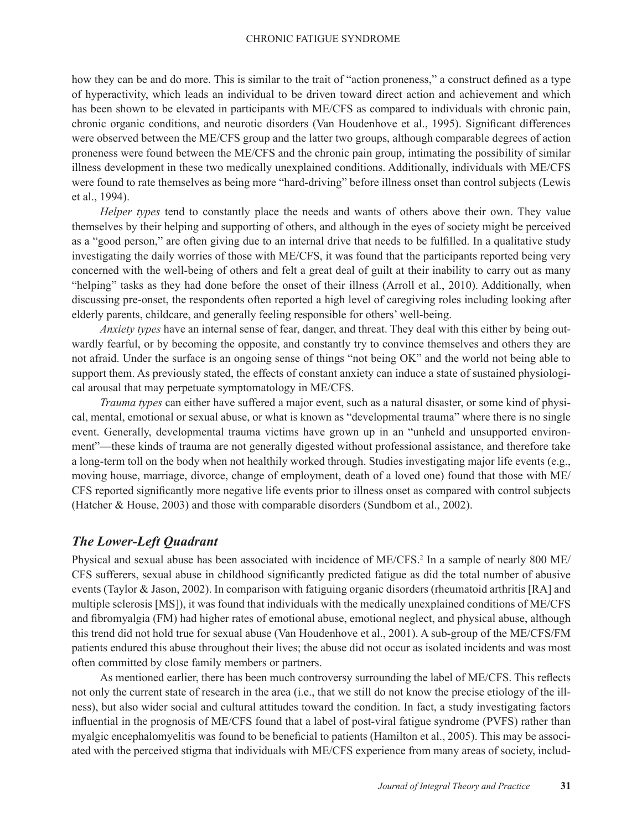how they can be and do more. This is similar to the trait of "action proneness," a construct defined as a type of hyperactivity, which leads an individual to be driven toward direct action and achievement and which has been shown to be elevated in participants with ME/CFS as compared to individuals with chronic pain, chronic organic conditions, and neurotic disorders (Van Houdenhove et al., 1995). Significant differences were observed between the ME/CFS group and the latter two groups, although comparable degrees of action proneness were found between the ME/CFS and the chronic pain group, intimating the possibility of similar illness development in these two medically unexplained conditions. Additionally, individuals with ME/CFS were found to rate themselves as being more "hard-driving" before illness onset than control subjects (Lewis et al., 1994).

*Helper types* tend to constantly place the needs and wants of others above their own. They value themselves by their helping and supporting of others, and although in the eyes of society might be perceived as a "good person," are often giving due to an internal drive that needs to be fulfilled. In a qualitative study investigating the daily worries of those with ME/CFS, it was found that the participants reported being very concerned with the well-being of others and felt a great deal of guilt at their inability to carry out as many "helping" tasks as they had done before the onset of their illness (Arroll et al., 2010). Additionally, when discussing pre-onset, the respondents often reported a high level of caregiving roles including looking after elderly parents, childcare, and generally feeling responsible for others' well-being.

*Anxiety types* have an internal sense of fear, danger, and threat. They deal with this either by being outwardly fearful, or by becoming the opposite, and constantly try to convince themselves and others they are not afraid. Under the surface is an ongoing sense of things "not being OK" and the world not being able to support them. As previously stated, the effects of constant anxiety can induce a state of sustained physiological arousal that may perpetuate symptomatology in ME/CFS.

*Trauma types* can either have suffered a major event, such as a natural disaster, or some kind of physical, mental, emotional or sexual abuse, or what is known as "developmental trauma" where there is no single event. Generally, developmental trauma victims have grown up in an "unheld and unsupported environment"—these kinds of trauma are not generally digested without professional assistance, and therefore take a long-term toll on the body when not healthily worked through. Studies investigating major life events (e.g., moving house, marriage, divorce, change of employment, death of a loved one) found that those with ME/ CFS reported significantly more negative life events prior to illness onset as compared with control subjects (Hatcher & House, 2003) and those with comparable disorders (Sundbom et al., 2002).

### *The Lower-Left Quadrant*

Physical and sexual abuse has been associated with incidence of ME/CFS.<sup>2</sup> In a sample of nearly 800 ME/ CFS sufferers, sexual abuse in childhood significantly predicted fatigue as did the total number of abusive events (Taylor & Jason, 2002). In comparison with fatiguing organic disorders (rheumatoid arthritis [RA] and multiple sclerosis [MS]), it was found that individuals with the medically unexplained conditions of ME/CFS and fibromyalgia (FM) had higher rates of emotional abuse, emotional neglect, and physical abuse, although this trend did not hold true for sexual abuse (Van Houdenhove et al., 2001). A sub-group of the ME/CFS/FM patients endured this abuse throughout their lives; the abuse did not occur as isolated incidents and was most often committed by close family members or partners.

As mentioned earlier, there has been much controversy surrounding the label of ME/CFS. This reflects not only the current state of research in the area (i.e., that we still do not know the precise etiology of the illness), but also wider social and cultural attitudes toward the condition. In fact, a study investigating factors influential in the prognosis of ME/CFS found that a label of post-viral fatigue syndrome (PVFS) rather than myalgic encephalomyelitis was found to be beneficial to patients (Hamilton et al., 2005). This may be associated with the perceived stigma that individuals with ME/CFS experience from many areas of society, includ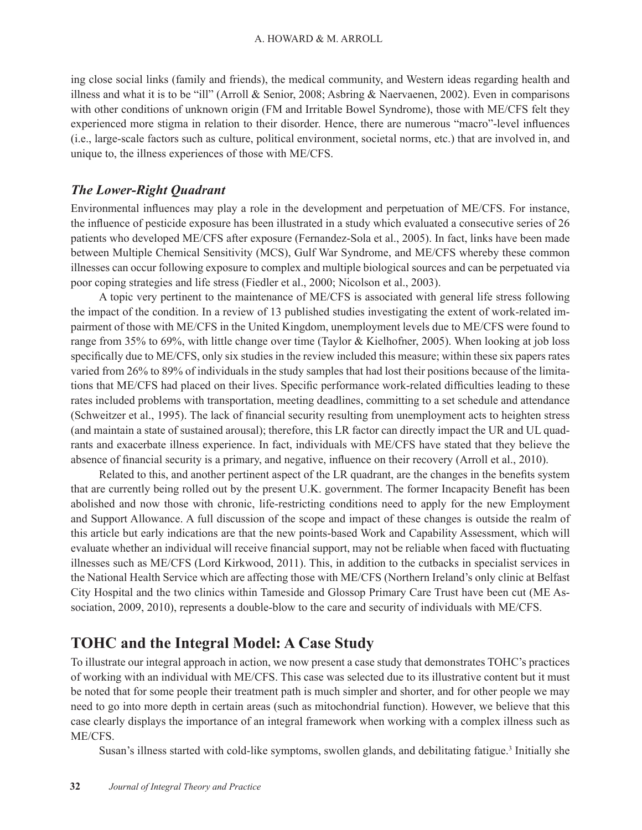ing close social links (family and friends), the medical community, and Western ideas regarding health and illness and what it is to be "ill" (Arroll & Senior, 2008; Asbring & Naervaenen, 2002). Even in comparisons with other conditions of unknown origin (FM and Irritable Bowel Syndrome), those with ME/CFS felt they experienced more stigma in relation to their disorder. Hence, there are numerous "macro"-level influences (i.e., large-scale factors such as culture, political environment, societal norms, etc.) that are involved in, and unique to, the illness experiences of those with ME/CFS.

### *The Lower-Right Quadrant*

Environmental influences may play a role in the development and perpetuation of ME/CFS. For instance, the influence of pesticide exposure has been illustrated in a study which evaluated a consecutive series of 26 patients who developed ME/CFS after exposure (Fernandez-Sola et al., 2005). In fact, links have been made between Multiple Chemical Sensitivity (MCS), Gulf War Syndrome, and ME/CFS whereby these common illnesses can occur following exposure to complex and multiple biological sources and can be perpetuated via poor coping strategies and life stress (Fiedler et al., 2000; Nicolson et al., 2003).

A topic very pertinent to the maintenance of ME/CFS is associated with general life stress following the impact of the condition. In a review of 13 published studies investigating the extent of work-related impairment of those with ME/CFS in the United Kingdom, unemployment levels due to ME/CFS were found to range from 35% to 69%, with little change over time (Taylor & Kielhofner, 2005). When looking at job loss specifically due to ME/CFS, only six studies in the review included this measure; within these six papers rates varied from 26% to 89% of individuals in the study samples that had lost their positions because of the limitations that ME/CFS had placed on their lives. Specific performance work-related difficulties leading to these rates included problems with transportation, meeting deadlines, committing to a set schedule and attendance (Schweitzer et al., 1995). The lack of financial security resulting from unemployment acts to heighten stress (and maintain a state of sustained arousal); therefore, this LR factor can directly impact the UR and UL quadrants and exacerbate illness experience. In fact, individuals with ME/CFS have stated that they believe the absence of financial security is a primary, and negative, influence on their recovery (Arroll et al., 2010).

Related to this, and another pertinent aspect of the LR quadrant, are the changes in the benefits system that are currently being rolled out by the present U.K. government. The former Incapacity Benefit has been abolished and now those with chronic, life-restricting conditions need to apply for the new Employment and Support Allowance. A full discussion of the scope and impact of these changes is outside the realm of this article but early indications are that the new points-based Work and Capability Assessment, which will evaluate whether an individual will receive financial support, may not be reliable when faced with fluctuating illnesses such as ME/CFS (Lord Kirkwood, 2011). This, in addition to the cutbacks in specialist services in the National Health Service which are affecting those with ME/CFS (Northern Ireland's only clinic at Belfast City Hospital and the two clinics within Tameside and Glossop Primary Care Trust have been cut (ME Association, 2009, 2010), represents a double-blow to the care and security of individuals with ME/CFS.

# **TOHC and the Integral Model: A Case Study**

To illustrate our integral approach in action, we now present a case study that demonstrates TOHC's practices of working with an individual with ME/CFS. This case was selected due to its illustrative content but it must be noted that for some people their treatment path is much simpler and shorter, and for other people we may need to go into more depth in certain areas (such as mitochondrial function). However, we believe that this case clearly displays the importance of an integral framework when working with a complex illness such as ME/CFS.

Susan's illness started with cold-like symptoms, swollen glands, and debilitating fatigue.<sup>3</sup> Initially she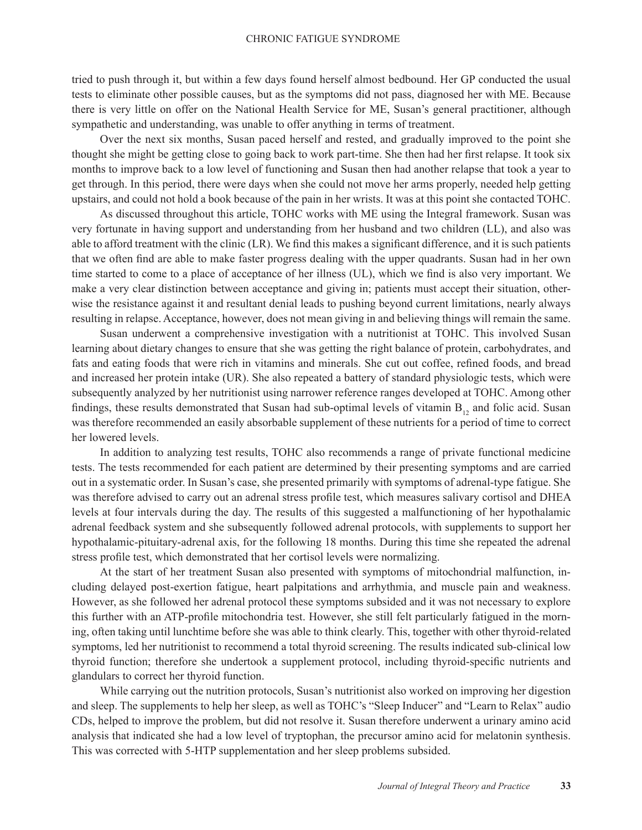tried to push through it, but within a few days found herself almost bedbound. Her GP conducted the usual tests to eliminate other possible causes, but as the symptoms did not pass, diagnosed her with ME. Because there is very little on offer on the National Health Service for ME, Susan's general practitioner, although sympathetic and understanding, was unable to offer anything in terms of treatment.

Over the next six months, Susan paced herself and rested, and gradually improved to the point she thought she might be getting close to going back to work part-time. She then had her first relapse. It took six months to improve back to a low level of functioning and Susan then had another relapse that took a year to get through. In this period, there were days when she could not move her arms properly, needed help getting upstairs, and could not hold a book because of the pain in her wrists. It was at this point she contacted TOHC.

As discussed throughout this article, TOHC works with ME using the Integral framework. Susan was very fortunate in having support and understanding from her husband and two children (LL), and also was able to afford treatment with the clinic (LR). We find this makes a significant difference, and it is such patients that we often find are able to make faster progress dealing with the upper quadrants. Susan had in her own time started to come to a place of acceptance of her illness (UL), which we find is also very important. We make a very clear distinction between acceptance and giving in; patients must accept their situation, otherwise the resistance against it and resultant denial leads to pushing beyond current limitations, nearly always resulting in relapse. Acceptance, however, does not mean giving in and believing things will remain the same.

Susan underwent a comprehensive investigation with a nutritionist at TOHC. This involved Susan learning about dietary changes to ensure that she was getting the right balance of protein, carbohydrates, and fats and eating foods that were rich in vitamins and minerals. She cut out coffee, refined foods, and bread and increased her protein intake (UR). She also repeated a battery of standard physiologic tests, which were subsequently analyzed by her nutritionist using narrower reference ranges developed at TOHC. Among other findings, these results demonstrated that Susan had sub-optimal levels of vitamin  $B_{12}$  and folic acid. Susan was therefore recommended an easily absorbable supplement of these nutrients for a period of time to correct her lowered levels.

In addition to analyzing test results, TOHC also recommends a range of private functional medicine tests. The tests recommended for each patient are determined by their presenting symptoms and are carried out in a systematic order. In Susan's case, she presented primarily with symptoms of adrenal-type fatigue. She was therefore advised to carry out an adrenal stress profile test, which measures salivary cortisol and DHEA levels at four intervals during the day. The results of this suggested a malfunctioning of her hypothalamic adrenal feedback system and she subsequently followed adrenal protocols, with supplements to support her hypothalamic-pituitary-adrenal axis, for the following 18 months. During this time she repeated the adrenal stress profile test, which demonstrated that her cortisol levels were normalizing.

At the start of her treatment Susan also presented with symptoms of mitochondrial malfunction, including delayed post-exertion fatigue, heart palpitations and arrhythmia, and muscle pain and weakness. However, as she followed her adrenal protocol these symptoms subsided and it was not necessary to explore this further with an ATP-profile mitochondria test. However, she still felt particularly fatigued in the morning, often taking until lunchtime before she was able to think clearly. This, together with other thyroid-related symptoms, led her nutritionist to recommend a total thyroid screening. The results indicated sub-clinical low thyroid function; therefore she undertook a supplement protocol, including thyroid-specific nutrients and glandulars to correct her thyroid function.

While carrying out the nutrition protocols, Susan's nutritionist also worked on improving her digestion and sleep. The supplements to help her sleep, as well as TOHC's "Sleep Inducer" and "Learn to Relax" audio CDs, helped to improve the problem, but did not resolve it. Susan therefore underwent a urinary amino acid analysis that indicated she had a low level of tryptophan, the precursor amino acid for melatonin synthesis. This was corrected with 5-HTP supplementation and her sleep problems subsided.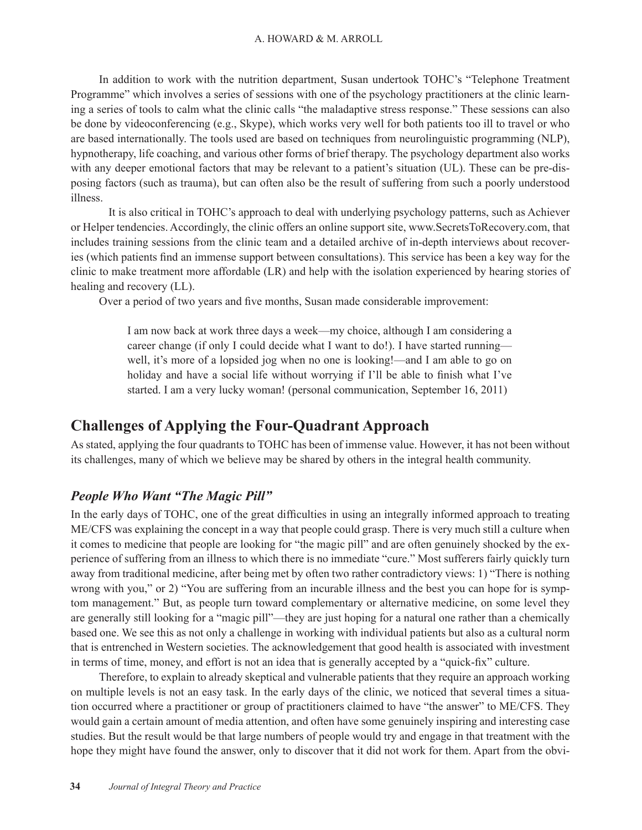In addition to work with the nutrition department, Susan undertook TOHC's "Telephone Treatment Programme" which involves a series of sessions with one of the psychology practitioners at the clinic learning a series of tools to calm what the clinic calls "the maladaptive stress response." These sessions can also be done by videoconferencing (e.g., Skype), which works very well for both patients too ill to travel or who are based internationally. The tools used are based on techniques from neurolinguistic programming (NLP), hypnotherapy, life coaching, and various other forms of brief therapy. The psychology department also works with any deeper emotional factors that may be relevant to a patient's situation (UL). These can be pre-disposing factors (such as trauma), but can often also be the result of suffering from such a poorly understood illness.

It is also critical in TOHC's approach to deal with underlying psychology patterns, such as Achiever or Helper tendencies. Accordingly, the clinic offers an online support site, www.SecretsToRecovery.com, that includes training sessions from the clinic team and a detailed archive of in-depth interviews about recoveries (which patients find an immense support between consultations). This service has been a key way for the clinic to make treatment more affordable (LR) and help with the isolation experienced by hearing stories of healing and recovery (LL).

Over a period of two years and five months, Susan made considerable improvement:

I am now back at work three days a week—my choice, although I am considering a career change (if only I could decide what I want to do!). I have started running well, it's more of a lopsided jog when no one is looking!—and I am able to go on holiday and have a social life without worrying if I'll be able to finish what I've started. I am a very lucky woman! (personal communication, September 16, 2011)

# **Challenges of Applying the Four-Quadrant Approach**

As stated, applying the four quadrants to TOHC has been of immense value. However, it has not been without its challenges, many of which we believe may be shared by others in the integral health community.

### *People Who Want "The Magic Pill"*

In the early days of TOHC, one of the great difficulties in using an integrally informed approach to treating ME/CFS was explaining the concept in a way that people could grasp. There is very much still a culture when it comes to medicine that people are looking for "the magic pill" and are often genuinely shocked by the experience of suffering from an illness to which there is no immediate "cure." Most sufferers fairly quickly turn away from traditional medicine, after being met by often two rather contradictory views: 1) "There is nothing wrong with you," or 2) "You are suffering from an incurable illness and the best you can hope for is symptom management." But, as people turn toward complementary or alternative medicine, on some level they are generally still looking for a "magic pill"—they are just hoping for a natural one rather than a chemically based one. We see this as not only a challenge in working with individual patients but also as a cultural norm that is entrenched in Western societies. The acknowledgement that good health is associated with investment in terms of time, money, and effort is not an idea that is generally accepted by a "quick-fix" culture.

Therefore, to explain to already skeptical and vulnerable patients that they require an approach working on multiple levels is not an easy task. In the early days of the clinic, we noticed that several times a situation occurred where a practitioner or group of practitioners claimed to have "the answer" to ME/CFS. They would gain a certain amount of media attention, and often have some genuinely inspiring and interesting case studies. But the result would be that large numbers of people would try and engage in that treatment with the hope they might have found the answer, only to discover that it did not work for them. Apart from the obvi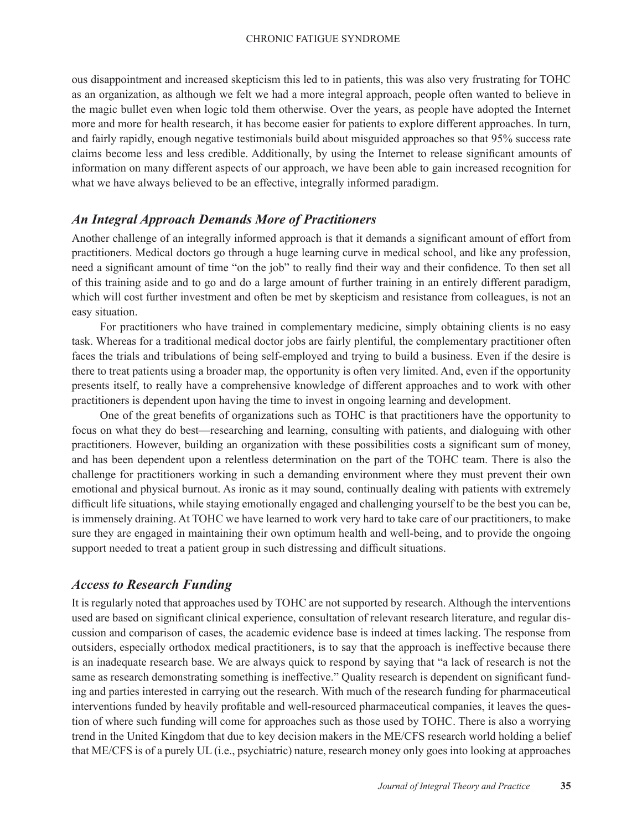ous disappointment and increased skepticism this led to in patients, this was also very frustrating for TOHC as an organization, as although we felt we had a more integral approach, people often wanted to believe in the magic bullet even when logic told them otherwise. Over the years, as people have adopted the Internet more and more for health research, it has become easier for patients to explore different approaches. In turn, and fairly rapidly, enough negative testimonials build about misguided approaches so that 95% success rate claims become less and less credible. Additionally, by using the Internet to release significant amounts of information on many different aspects of our approach, we have been able to gain increased recognition for what we have always believed to be an effective, integrally informed paradigm.

#### *An Integral Approach Demands More of Practitioners*

Another challenge of an integrally informed approach is that it demands a significant amount of effort from practitioners. Medical doctors go through a huge learning curve in medical school, and like any profession, need a significant amount of time "on the job" to really find their way and their confidence. To then set all of this training aside and to go and do a large amount of further training in an entirely different paradigm, which will cost further investment and often be met by skepticism and resistance from colleagues, is not an easy situation.

For practitioners who have trained in complementary medicine, simply obtaining clients is no easy task. Whereas for a traditional medical doctor jobs are fairly plentiful, the complementary practitioner often faces the trials and tribulations of being self-employed and trying to build a business. Even if the desire is there to treat patients using a broader map, the opportunity is often very limited. And, even if the opportunity presents itself, to really have a comprehensive knowledge of different approaches and to work with other practitioners is dependent upon having the time to invest in ongoing learning and development.

One of the great benefits of organizations such as TOHC is that practitioners have the opportunity to focus on what they do best—researching and learning, consulting with patients, and dialoguing with other practitioners. However, building an organization with these possibilities costs a significant sum of money, and has been dependent upon a relentless determination on the part of the TOHC team. There is also the challenge for practitioners working in such a demanding environment where they must prevent their own emotional and physical burnout. As ironic as it may sound, continually dealing with patients with extremely difficult life situations, while staying emotionally engaged and challenging yourself to be the best you can be, is immensely draining. At TOHC we have learned to work very hard to take care of our practitioners, to make sure they are engaged in maintaining their own optimum health and well-being, and to provide the ongoing support needed to treat a patient group in such distressing and difficult situations.

### *Access to Research Funding*

It is regularly noted that approaches used by TOHC are not supported by research. Although the interventions used are based on significant clinical experience, consultation of relevant research literature, and regular discussion and comparison of cases, the academic evidence base is indeed at times lacking. The response from outsiders, especially orthodox medical practitioners, is to say that the approach is ineffective because there is an inadequate research base. We are always quick to respond by saying that "a lack of research is not the same as research demonstrating something is ineffective." Quality research is dependent on significant funding and parties interested in carrying out the research. With much of the research funding for pharmaceutical interventions funded by heavily profitable and well-resourced pharmaceutical companies, it leaves the question of where such funding will come for approaches such as those used by TOHC. There is also a worrying trend in the United Kingdom that due to key decision makers in the ME/CFS research world holding a belief that ME/CFS is of a purely UL (i.e., psychiatric) nature, research money only goes into looking at approaches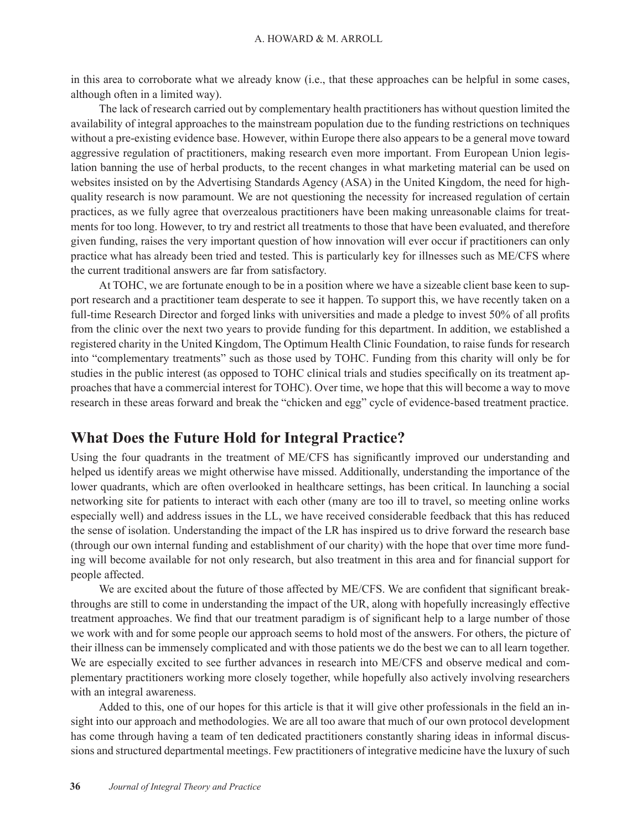in this area to corroborate what we already know (i.e., that these approaches can be helpful in some cases, although often in a limited way).

The lack of research carried out by complementary health practitioners has without question limited the availability of integral approaches to the mainstream population due to the funding restrictions on techniques without a pre-existing evidence base. However, within Europe there also appears to be a general move toward aggressive regulation of practitioners, making research even more important. From European Union legislation banning the use of herbal products, to the recent changes in what marketing material can be used on websites insisted on by the Advertising Standards Agency (ASA) in the United Kingdom, the need for highquality research is now paramount. We are not questioning the necessity for increased regulation of certain practices, as we fully agree that overzealous practitioners have been making unreasonable claims for treatments for too long. However, to try and restrict all treatments to those that have been evaluated, and therefore given funding, raises the very important question of how innovation will ever occur if practitioners can only practice what has already been tried and tested. This is particularly key for illnesses such as ME/CFS where the current traditional answers are far from satisfactory.

At TOHC, we are fortunate enough to be in a position where we have a sizeable client base keen to support research and a practitioner team desperate to see it happen. To support this, we have recently taken on a full-time Research Director and forged links with universities and made a pledge to invest 50% of all profits from the clinic over the next two years to provide funding for this department. In addition, we established a registered charity in the United Kingdom, The Optimum Health Clinic Foundation, to raise funds for research into "complementary treatments" such as those used by TOHC. Funding from this charity will only be for studies in the public interest (as opposed to TOHC clinical trials and studies specifically on its treatment approaches that have a commercial interest for TOHC). Over time, we hope that this will become a way to move research in these areas forward and break the "chicken and egg" cycle of evidence-based treatment practice.

### **What Does the Future Hold for Integral Practice?**

Using the four quadrants in the treatment of ME/CFS has significantly improved our understanding and helped us identify areas we might otherwise have missed. Additionally, understanding the importance of the lower quadrants, which are often overlooked in healthcare settings, has been critical. In launching a social networking site for patients to interact with each other (many are too ill to travel, so meeting online works especially well) and address issues in the LL, we have received considerable feedback that this has reduced the sense of isolation. Understanding the impact of the LR has inspired us to drive forward the research base (through our own internal funding and establishment of our charity) with the hope that over time more funding will become available for not only research, but also treatment in this area and for financial support for people affected.

We are excited about the future of those affected by ME/CFS. We are confident that significant breakthroughs are still to come in understanding the impact of the UR, along with hopefully increasingly effective treatment approaches. We find that our treatment paradigm is of significant help to a large number of those we work with and for some people our approach seems to hold most of the answers. For others, the picture of their illness can be immensely complicated and with those patients we do the best we can to all learn together. We are especially excited to see further advances in research into ME/CFS and observe medical and complementary practitioners working more closely together, while hopefully also actively involving researchers with an integral awareness.

Added to this, one of our hopes for this article is that it will give other professionals in the field an insight into our approach and methodologies. We are all too aware that much of our own protocol development has come through having a team of ten dedicated practitioners constantly sharing ideas in informal discussions and structured departmental meetings. Few practitioners of integrative medicine have the luxury of such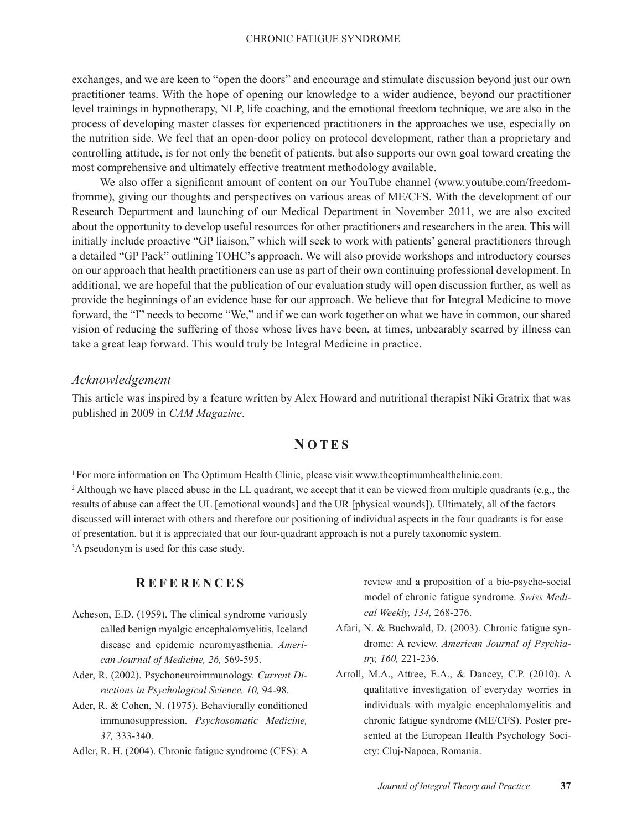exchanges, and we are keen to "open the doors" and encourage and stimulate discussion beyond just our own practitioner teams. With the hope of opening our knowledge to a wider audience, beyond our practitioner level trainings in hypnotherapy, NLP, life coaching, and the emotional freedom technique, we are also in the process of developing master classes for experienced practitioners in the approaches we use, especially on the nutrition side. We feel that an open-door policy on protocol development, rather than a proprietary and controlling attitude, is for not only the benefit of patients, but also supports our own goal toward creating the most comprehensive and ultimately effective treatment methodology available.

We also offer a significant amount of content on our YouTube channel (www.youtube.com/freedomfromme), giving our thoughts and perspectives on various areas of ME/CFS. With the development of our Research Department and launching of our Medical Department in November 2011, we are also excited about the opportunity to develop useful resources for other practitioners and researchers in the area. This will initially include proactive "GP liaison," which will seek to work with patients' general practitioners through a detailed "GP Pack" outlining TOHC's approach. We will also provide workshops and introductory courses on our approach that health practitioners can use as part of their own continuing professional development. In additional, we are hopeful that the publication of our evaluation study will open discussion further, as well as provide the beginnings of an evidence base for our approach. We believe that for Integral Medicine to move forward, the "I" needs to become "We," and if we can work together on what we have in common, our shared vision of reducing the suffering of those whose lives have been, at times, unbearably scarred by illness can take a great leap forward. This would truly be Integral Medicine in practice.

#### *Acknowledgement*

This article was inspired by a feature written by Alex Howard and nutritional therapist Niki Gratrix that was published in 2009 in *CAM Magazine*.

### **N OTES**

<sup>1</sup>For more information on The Optimum Health Clinic, please visit www.theoptimumhealthclinic.com. <sup>2</sup> Although we have placed abuse in the LL quadrant, we accept that it can be viewed from multiple quadrants (e.g., the results of abuse can affect the UL [emotional wounds] and the UR [physical wounds]). Ultimately, all of the factors discussed will interact with others and therefore our positioning of individual aspects in the four quadrants is for ease of presentation, but it is appreciated that our four-quadrant approach is not a purely taxonomic system. 3 A pseudonym is used for this case study.

### **R EFERENCES**

- Acheson, E.D. (1959). The clinical syndrome variously called benign myalgic encephalomyelitis, Iceland disease and epidemic neuromyasthenia. *American Journal of Medicine, 26,* 569-595.
- Ader, R. (2002). Psychoneuroimmunology. *Current Directions in Psychological Science, 10,* 94-98.
- Ader, R. & Cohen, N. (1975). Behaviorally conditioned immunosuppression. *Psychosomatic Medicine, 37,* 333-340.
- Adler, R. H. (2004). Chronic fatigue syndrome (CFS): A

review and a proposition of a bio-psycho-social model of chronic fatigue syndrome. *Swiss Medical Weekly, 134,* 268-276.

- Afari, N. & Buchwald, D. (2003). Chronic fatigue syndrome: A review. *American Journal of Psychiatry, 160,* 221-236.
- Arroll, M.A., Attree, E.A., & Dancey, C.P. (2010). A qualitative investigation of everyday worries in individuals with myalgic encephalomyelitis and chronic fatigue syndrome (ME/CFS). Poster presented at the European Health Psychology Society: Cluj-Napoca, Romania.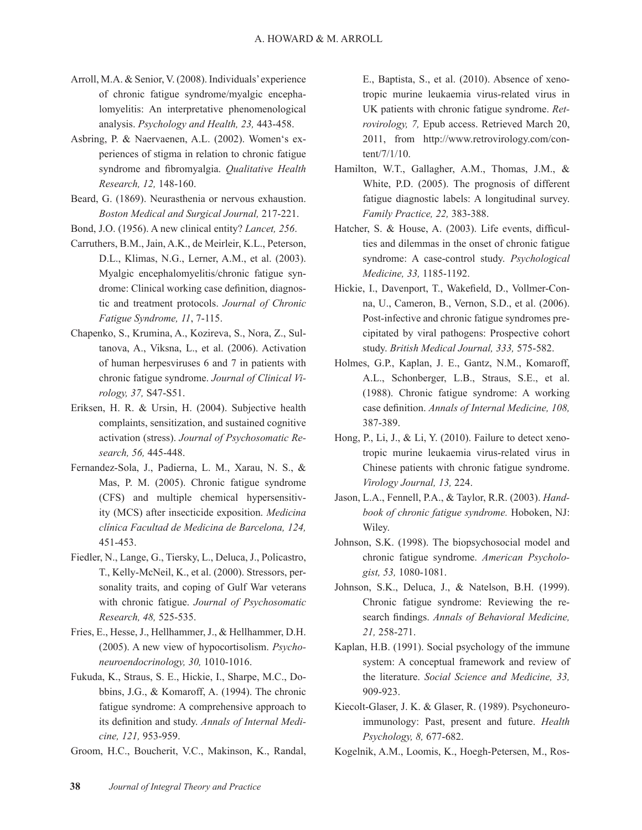- Arroll, M.A. & Senior, V. (2008). Individuals' experience of chronic fatigue syndrome/myalgic encephalomyelitis: An interpretative phenomenological analysis. *Psychology and Health, 23,* 443-458.
- Asbring, P. & Naervaenen, A.L. (2002). Women's experiences of stigma in relation to chronic fatigue syndrome and fibromyalgia. *Qualitative Health Research, 12,* 148-160.
- Beard, G. (1869). Neurasthenia or nervous exhaustion. *Boston Medical and Surgical Journal,* 217-221.
- Bond, J.O. (1956). A new clinical entity? *Lancet, 256*.
- Carruthers, B.M., Jain, A.K., de Meirleir, K.L., Peterson, D.L., Klimas, N.G., Lerner, A.M., et al. (2003). Myalgic encephalomyelitis/chronic fatigue syndrome: Clinical working case definition, diagnostic and treatment protocols. *Journal of Chronic Fatigue Syndrome, 11*, 7-115.
- Chapenko, S., Krumina, A., Kozireva, S., Nora, Z., Sultanova, A., Viksna, L., et al. (2006). Activation of human herpesviruses 6 and 7 in patients with chronic fatigue syndrome. *Journal of Clinical Virology, 37,* S47-S51.
- Eriksen, H. R. & Ursin, H. (2004). Subjective health complaints, sensitization, and sustained cognitive activation (stress). *Journal of Psychosomatic Research, 56,* 445-448.
- Fernandez-Sola, J., Padierna, L. M., Xarau, N. S., & Mas, P. M. (2005). Chronic fatigue syndrome (CFS) and multiple chemical hypersensitivity (MCS) after insecticide exposition. *Medicina clínica Facultad de Medicina de Barcelona, 124,* 451-453.
- Fiedler, N., Lange, G., Tiersky, L., Deluca, J., Policastro, T., Kelly-McNeil, K., et al. (2000). Stressors, personality traits, and coping of Gulf War veterans with chronic fatigue. *Journal of Psychosomatic Research, 48,* 525-535.
- Fries, E., Hesse, J., Hellhammer, J., & Hellhammer, D.H. (2005). A new view of hypocortisolism. *Psychoneuroendocrinology, 30,* 1010-1016.
- Fukuda, K., Straus, S. E., Hickie, I., Sharpe, M.C., Dobbins, J.G., & Komaroff, A. (1994). The chronic fatigue syndrome: A comprehensive approach to its definition and study. *Annals of Internal Medicine, 121,* 953-959.
- Groom, H.C., Boucherit, V.C., Makinson, K., Randal,

E., Baptista, S., et al. (2010). Absence of xenotropic murine leukaemia virus-related virus in UK patients with chronic fatigue syndrome. *Retrovirology, 7,* Epub access. Retrieved March 20, 2011, from http://www.retrovirology.com/content/7/1/10.

- Hamilton, W.T., Gallagher, A.M., Thomas, J.M., & White, P.D. (2005). The prognosis of different fatigue diagnostic labels: A longitudinal survey. *Family Practice, 22,* 383-388.
- Hatcher, S. & House, A. (2003). Life events, difficulties and dilemmas in the onset of chronic fatigue syndrome: A case-control study. *Psychological Medicine, 33,* 1185-1192.
- Hickie, I., Davenport, T., Wakefield, D., Vollmer-Conna, U., Cameron, B., Vernon, S.D., et al. (2006). Post-infective and chronic fatigue syndromes precipitated by viral pathogens: Prospective cohort study. *British Medical Journal, 333,* 575-582.
- Holmes, G.P., Kaplan, J. E., Gantz, N.M., Komaroff, A.L., Schonberger, L.B., Straus, S.E., et al. (1988). Chronic fatigue syndrome: A working case definition. *Annals of Internal Medicine, 108,* 387-389.
- Hong, P., Li, J., & Li, Y. (2010). Failure to detect xenotropic murine leukaemia virus-related virus in Chinese patients with chronic fatigue syndrome. *Virology Journal, 13,* 224.
- Jason, L.A., Fennell, P.A., & Taylor, R.R. (2003). *Handbook of chronic fatigue syndrome.* Hoboken, NJ: Wiley.
- Johnson, S.K. (1998). The biopsychosocial model and chronic fatigue syndrome. *American Psychologist, 53,* 1080-1081.
- Johnson, S.K., Deluca, J., & Natelson, B.H. (1999). Chronic fatigue syndrome: Reviewing the research findings. *Annals of Behavioral Medicine, 21,* 258-271.
- Kaplan, H.B. (1991). Social psychology of the immune system: A conceptual framework and review of the literature. *Social Science and Medicine, 33,* 909-923.
- Kiecolt-Glaser, J. K. & Glaser, R. (1989). Psychoneuroimmunology: Past, present and future. *Health Psychology, 8,* 677-682.
- Kogelnik, A.M., Loomis, K., Hoegh-Petersen, M., Ros-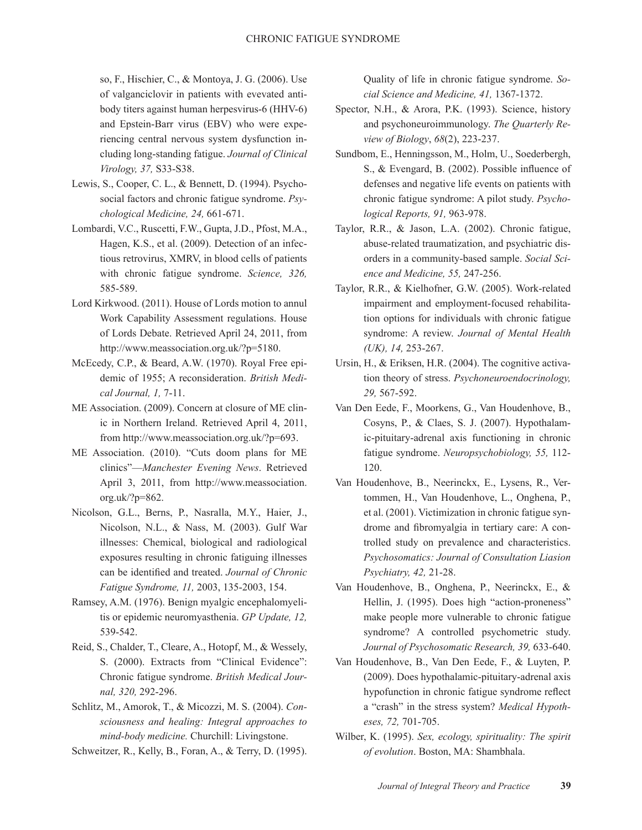so, F., Hischier, C., & Montoya, J. G. (2006). Use of valganciclovir in patients with evevated antibody titers against human herpesvirus-6 (HHV-6) and Epstein-Barr virus (EBV) who were experiencing central nervous system dysfunction including long-standing fatigue. *Journal of Clinical Virology, 37,* S33-S38.

- Lewis, S., Cooper, C. L., & Bennett, D. (1994). Psychosocial factors and chronic fatigue syndrome. *Psychological Medicine, 24,* 661-671.
- Lombardi, V.C., Ruscetti, F.W., Gupta, J.D., Pfost, M.A., Hagen, K.S., et al. (2009). Detection of an infectious retrovirus, XMRV, in blood cells of patients with chronic fatigue syndrome. *Science, 326,* 585-589.
- Lord Kirkwood. (2011). House of Lords motion to annul Work Capability Assessment regulations. House of Lords Debate. Retrieved April 24, 2011, from http://www.meassociation.org.uk/?p=5180.
- McEcedy, C.P., & Beard, A.W. (1970). Royal Free epidemic of 1955; A reconsideration. *British Medical Journal, 1,* 7-11.
- ME Association. (2009). Concern at closure of ME clinic in Northern Ireland. Retrieved April 4, 2011, from http://www.meassociation.org.uk/?p=693.
- ME Association. (2010). "Cuts doom plans for ME clinics"—*Manchester Evening News*. Retrieved April 3, 2011, from http://www.meassociation. org.uk/?p=862.
- Nicolson, G.L., Berns, P., Nasralla, M.Y., Haier, J., Nicolson, N.L., & Nass, M. (2003). Gulf War illnesses: Chemical, biological and radiological exposures resulting in chronic fatiguing illnesses can be identified and treated. *Journal of Chronic Fatigue Syndrome, 11,* 2003, 135-2003, 154.
- Ramsey, A.M. (1976). Benign myalgic encephalomyelitis or epidemic neuromyasthenia. *GP Update, 12,* 539-542.
- Reid, S., Chalder, T., Cleare, A., Hotopf, M., & Wessely, S. (2000). Extracts from "Clinical Evidence": Chronic fatigue syndrome. *British Medical Journal, 320,* 292-296.
- Schlitz, M., Amorok, T., & Micozzi, M. S. (2004). *Consciousness and healing: Integral approaches to mind-body medicine.* Churchill: Livingstone.
- Schweitzer, R., Kelly, B., Foran, A., & Terry, D. (1995).

Quality of life in chronic fatigue syndrome. *Social Science and Medicine, 41,* 1367-1372.

- Spector, N.H., & Arora, P.K. (1993). Science, history and psychoneuroimmunology. *The Quarterly Review of Biology*, *68*(2), 223-237.
- Sundbom, E., Henningsson, M., Holm, U., Soederbergh, S., & Evengard, B. (2002). Possible influence of defenses and negative life events on patients with chronic fatigue syndrome: A pilot study. *Psychological Reports, 91,* 963-978.
- Taylor, R.R., & Jason, L.A. (2002). Chronic fatigue, abuse-related traumatization, and psychiatric disorders in a community-based sample. *Social Science and Medicine, 55,* 247-256.
- Taylor, R.R., & Kielhofner, G.W. (2005). Work-related impairment and employment-focused rehabilitation options for individuals with chronic fatigue syndrome: A review. *Journal of Mental Health (UK), 14,* 253-267.
- Ursin, H., & Eriksen, H.R. (2004). The cognitive activation theory of stress. *Psychoneuroendocrinology, 29,* 567-592.
- Van Den Eede, F., Moorkens, G., Van Houdenhove, B., Cosyns, P., & Claes, S. J. (2007). Hypothalamic-pituitary-adrenal axis functioning in chronic fatigue syndrome. *Neuropsychobiology, 55,* 112- 120.
- Van Houdenhove, B., Neerinckx, E., Lysens, R., Vertommen, H., Van Houdenhove, L., Onghena, P., et al. (2001). Victimization in chronic fatigue syndrome and fibromyalgia in tertiary care: A controlled study on prevalence and characteristics. *Psychosomatics: Journal of Consultation Liasion Psychiatry, 42,* 21-28.
- Van Houdenhove, B., Onghena, P., Neerinckx, E., & Hellin, J. (1995). Does high "action-proneness" make people more vulnerable to chronic fatigue syndrome? A controlled psychometric study. *Journal of Psychosomatic Research, 39,* 633-640.
- Van Houdenhove, B., Van Den Eede, F., & Luyten, P. (2009). Does hypothalamic-pituitary-adrenal axis hypofunction in chronic fatigue syndrome reflect a "crash" in the stress system? *Medical Hypotheses, 72,* 701-705.
- Wilber, K. (1995). *Sex, ecology, spirituality: The spirit of evolution*. Boston, MA: Shambhala.